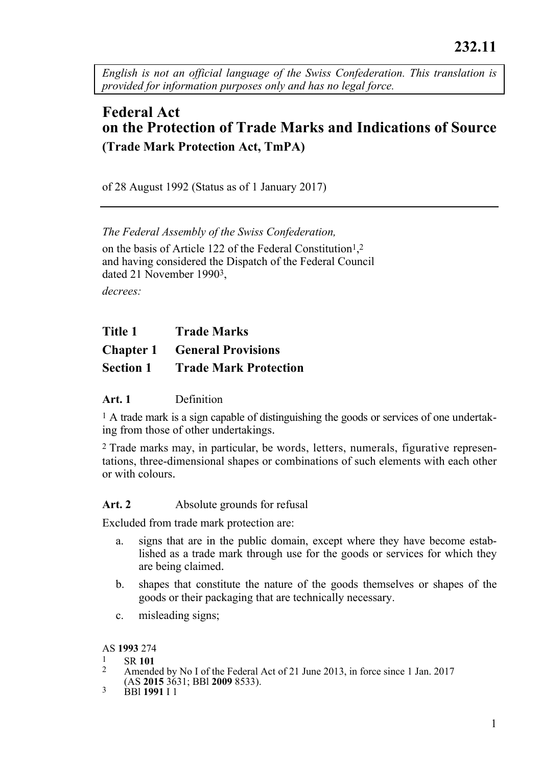*English is not an official language of the Swiss Confederation. This translation is provided for information purposes only and has no legal force.* 

# **Federal Act on the Protection of Trade Marks and Indications of Source (Trade Mark Protection Act, TmPA)**

of 28 August 1992 (Status as of 1 January 2017)

*The Federal Assembly of the Swiss Confederation,* 

on the basis of Article 122 of the Federal Constitution<sup>1</sup>,<sup>2</sup> and having considered the Dispatch of the Federal Council dated 21 November 19903,

*decrees:* 

**Chapter 1 General Provisions** 

**Section 1 Trade Mark Protection** 

#### **Art. 1** Definition

1 A trade mark is a sign capable of distinguishing the goods or services of one undertaking from those of other undertakings.

2 Trade marks may, in particular, be words, letters, numerals, figurative representations, three-dimensional shapes or combinations of such elements with each other or with colours.

#### Art. 2 **Absolute grounds for refusal**

Excluded from trade mark protection are:

- a. signs that are in the public domain, except where they have become established as a trade mark through use for the goods or services for which they are being claimed.
- b. shapes that constitute the nature of the goods themselves or shapes of the goods or their packaging that are technically necessary.
- c. misleading signs;

- 
- AS **1993** 274<br><sup>1</sup> SR **101**<br><sup>2</sup> Amended by No I of the Federal Act of 21 June 2013, in force since 1 Jan. 2017 (AS **2015** 3631; BBl **2009** 8533). 3 BBl **1991** I 1
-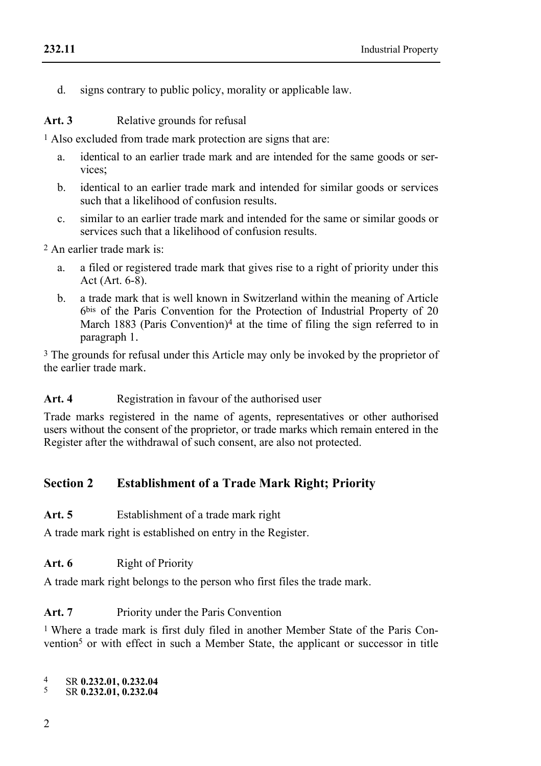d. signs contrary to public policy, morality or applicable law.

Art. 3 Relative grounds for refusal

1 Also excluded from trade mark protection are signs that are:

- a. identical to an earlier trade mark and are intended for the same goods or services;
- b. identical to an earlier trade mark and intended for similar goods or services such that a likelihood of confusion results.
- c. similar to an earlier trade mark and intended for the same or similar goods or services such that a likelihood of confusion results.

2 An earlier trade mark is:

- a. a filed or registered trade mark that gives rise to a right of priority under this Act (Art. 6-8).
- b. a trade mark that is well known in Switzerland within the meaning of Article 6bis of the Paris Convention for the Protection of Industrial Property of 20 March 1883 (Paris Convention)<sup>4</sup> at the time of filing the sign referred to in paragraph 1.

3 The grounds for refusal under this Article may only be invoked by the proprietor of the earlier trade mark.

Art. 4 **Registration in favour of the authorised user** 

Trade marks registered in the name of agents, representatives or other authorised users without the consent of the proprietor, or trade marks which remain entered in the Register after the withdrawal of such consent, are also not protected.

## **Section 2 Establishment of a Trade Mark Right; Priority**

Art. 5 Establishment of a trade mark right

A trade mark right is established on entry in the Register.

Art. 6 **Right of Priority** 

A trade mark right belongs to the person who first files the trade mark.

**Art. 7** Priority under the Paris Convention

1 Where a trade mark is first duly filed in another Member State of the Paris Convention<sup>5</sup> or with effect in such a Member State, the applicant or successor in title

4 SR **0.232.01, 0.232.04** 5 SR **0.232.01, 0.232.04**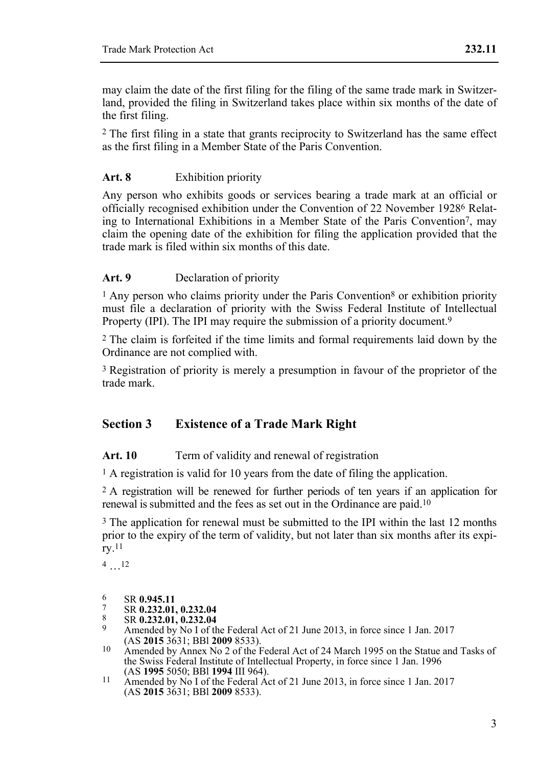may claim the date of the first filing for the filing of the same trade mark in Switzerland, provided the filing in Switzerland takes place within six months of the date of the first filing.

2 The first filing in a state that grants reciprocity to Switzerland has the same effect as the first filing in a Member State of the Paris Convention.

## **Art. 8** Exhibition priority

Any person who exhibits goods or services bearing a trade mark at an official or officially recognised exhibition under the Convention of 22 November 19286 Relating to International Exhibitions in a Member State of the Paris Convention7, may claim the opening date of the exhibition for filing the application provided that the trade mark is filed within six months of this date.

## **Art. 9** Declaration of priority

 $<sup>1</sup>$  Any person who claims priority under the Paris Convention<sup>8</sup> or exhibition priority</sup> must file a declaration of priority with the Swiss Federal Institute of Intellectual Property (IPI). The IPI may require the submission of a priority document.<sup>9</sup>

2 The claim is forfeited if the time limits and formal requirements laid down by the Ordinance are not complied with.

3 Registration of priority is merely a presumption in favour of the proprietor of the trade mark.

## **Section 3 Existence of a Trade Mark Right**

## Art. 10 Term of validity and renewal of registration

1 A registration is valid for 10 years from the date of filing the application.

2 A registration will be renewed for further periods of ten years if an application for renewal is submitted and the fees as set out in the Ordinance are paid.10

<sup>3</sup> The application for renewal must be submitted to the IPI within the last 12 months prior to the expiry of the term of validity, but not later than six months after its expiry.11

4 …12

- 6
- 
- 
- 6 SR **0.945.11**<br>
7 SR **0.232.01, 0.232.04**<br>
8 SR **0.232.01, 0.232.04**<br>
9 Amended by No I of the Federal Act of 21 June 2013, in force since 1 Jan. 2017<br>
(AS 2015 3631: BBI 2009 8533).
- (AS **2015** 3631; BBl **2009** 8533). 10 Amended by Annex No 2 of the Federal Act of 24 March 1995 on the Statue and Tasks of the Swiss Federal Institute of Intellectual Property, in force since 1 Jan. 1996 (AS 1995 5050: BBI 1994 III 964).
- (AS **1995** 5050; BBl **1994** III 964). 11 Amended by No I of the Federal Act of 21 June 2013, in force since 1 Jan. 2017 (AS **2015** 3631; BBl **2009** 8533).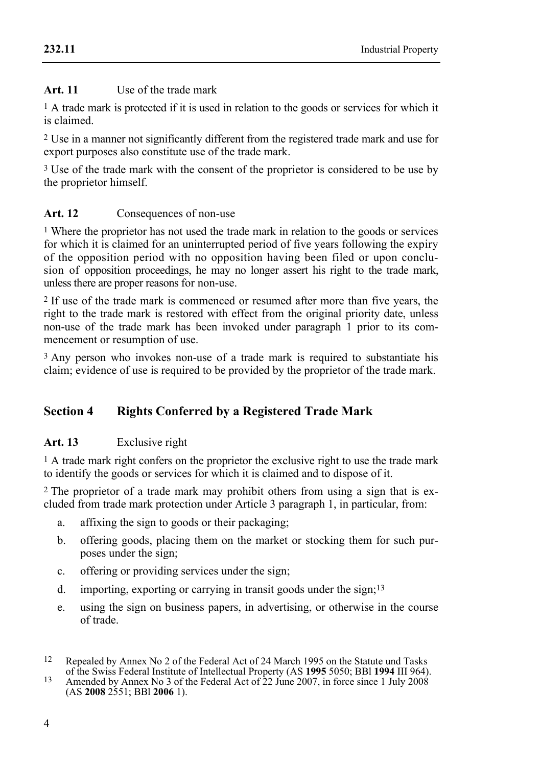### **Art. 11** Use of the trade mark

1 A trade mark is protected if it is used in relation to the goods or services for which it is claimed.

2 Use in a manner not significantly different from the registered trade mark and use for export purposes also constitute use of the trade mark.

3 Use of the trade mark with the consent of the proprietor is considered to be use by the proprietor himself.

## Art. 12 Consequences of non-use

1 Where the proprietor has not used the trade mark in relation to the goods or services for which it is claimed for an uninterrupted period of five years following the expiry of the opposition period with no opposition having been filed or upon conclusion of opposition proceedings, he may no longer assert his right to the trade mark, unless there are proper reasons for non-use.

2 If use of the trade mark is commenced or resumed after more than five years, the right to the trade mark is restored with effect from the original priority date, unless non-use of the trade mark has been invoked under paragraph 1 prior to its commencement or resumption of use.

3 Any person who invokes non-use of a trade mark is required to substantiate his claim; evidence of use is required to be provided by the proprietor of the trade mark.

## **Section 4 Rights Conferred by a Registered Trade Mark**

## **Art. 13** Exclusive right

<sup>1</sup> A trade mark right confers on the proprietor the exclusive right to use the trade mark to identify the goods or services for which it is claimed and to dispose of it.

2 The proprietor of a trade mark may prohibit others from using a sign that is excluded from trade mark protection under Article 3 paragraph 1, in particular, from:

- a. affixing the sign to goods or their packaging;
- b. offering goods, placing them on the market or stocking them for such purposes under the sign;
- c. offering or providing services under the sign;
- d. importing, exporting or carrying in transit goods under the sign;13
- e. using the sign on business papers, in advertising, or otherwise in the course of trade.

<sup>12</sup> Repealed by Annex No 2 of the Federal Act of 24 March 1995 on the Statute und Tasks of the Swiss Federal Institute of Intellectual Property (AS **1995** 5050; BBl **1994** III 964). 13 Amended by Annex No 3 of the Federal Act of 22 June 2007, in force since 1 July 2008

<sup>(</sup>AS **2008** 2551; BBl **2006** 1).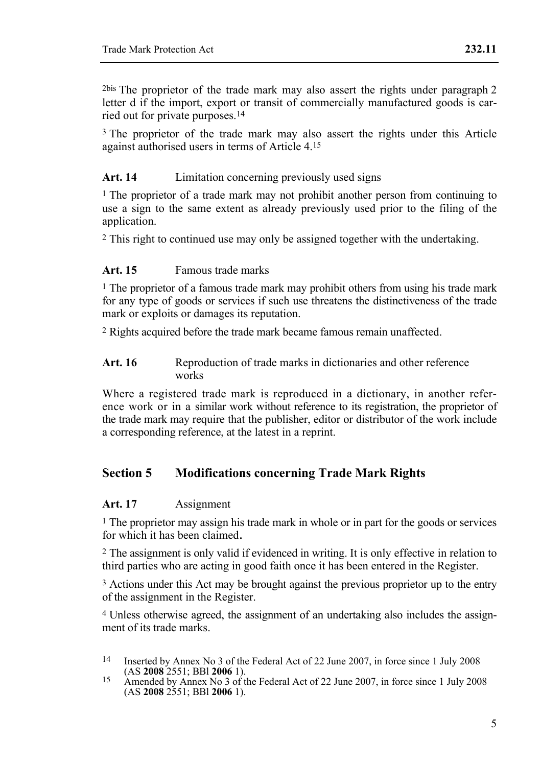2bis The proprietor of the trade mark may also assert the rights under paragraph 2 letter d if the import, export or transit of commercially manufactured goods is carried out for private purposes.14

<sup>3</sup> The proprietor of the trade mark may also assert the rights under this Article against authorised users in terms of Article 4.15

### Art. 14 **Limitation concerning previously used signs**

<sup>1</sup> The proprietor of a trade mark may not prohibit another person from continuing to use a sign to the same extent as already previously used prior to the filing of the application.

2 This right to continued use may only be assigned together with the undertaking.

#### **Art. 15** Famous trade marks

 $<sup>1</sup>$  The proprietor of a famous trade mark may prohibit others from using his trade mark</sup> for any type of goods or services if such use threatens the distinctiveness of the trade mark or exploits or damages its reputation.

2 Rights acquired before the trade mark became famous remain unaffected.

#### Art. 16 Reproduction of trade marks in dictionaries and other reference works

Where a registered trade mark is reproduced in a dictionary, in another reference work or in a similar work without reference to its registration, the proprietor of the trade mark may require that the publisher, editor or distributor of the work include a corresponding reference, at the latest in a reprint.

## **Section 5 Modifications concerning Trade Mark Rights**

#### **Art. 17** Assignment

<sup>1</sup> The proprietor may assign his trade mark in whole or in part for the goods or services for which it has been claimed.

2 The assignment is only valid if evidenced in writing. It is only effective in relation to third parties who are acting in good faith once it has been entered in the Register.

<sup>3</sup> Actions under this Act may be brought against the previous proprietor up to the entry of the assignment in the Register.

4 Unless otherwise agreed, the assignment of an undertaking also includes the assignment of its trade marks.

 $14$ Inserted by Annex No 3 of the Federal Act of 22 June 2007, in force since 1 July 2008 (AS 2008 2551; BBI 2006 1).

<sup>(</sup>AS **2008** 2551; BBl **2006** 1). 15 Amended by Annex No 3 of the Federal Act of 22 June 2007, in force since 1 July 2008 (AS **2008** 2551; BBl **2006** 1).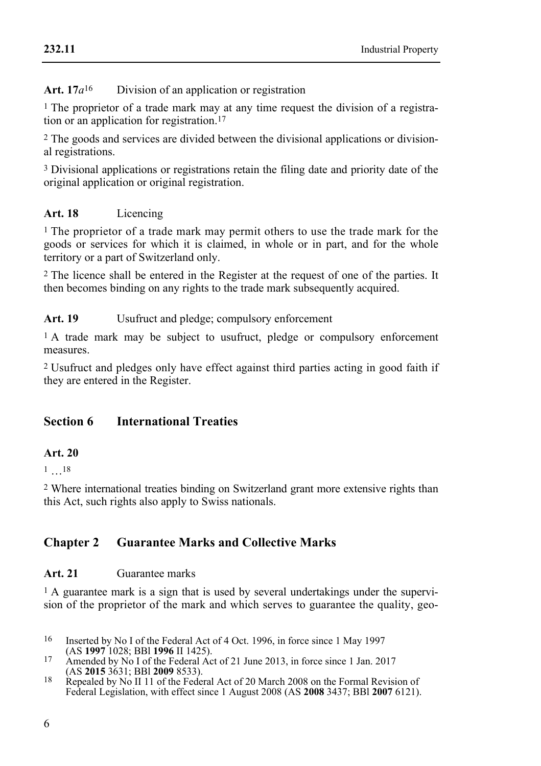#### **232.11**

## Art. 17*a*<sup>16</sup> Division of an application or registration

1 The proprietor of a trade mark may at any time request the division of a registration or an application for registration.17

2 The goods and services are divided between the divisional applications or divisional registrations.

3 Divisional applications or registrations retain the filing date and priority date of the original application or original registration.

## **Art. 18** Licencing

<sup>1</sup> The proprietor of a trade mark may permit others to use the trade mark for the goods or services for which it is claimed, in whole or in part, and for the whole territory or a part of Switzerland only.

2 The licence shall be entered in the Register at the request of one of the parties. It then becomes binding on any rights to the trade mark subsequently acquired.

## **Art. 19** Usufruct and pledge; compulsory enforcement

<sup>1</sup> A trade mark may be subject to usufruct, pledge or compulsory enforcement measures.

2 Usufruct and pledges only have effect against third parties acting in good faith if they are entered in the Register.

## **Section 6 International Treaties**

## **Art. 20**

 $1 \t18$ 

2 Where international treaties binding on Switzerland grant more extensive rights than this Act, such rights also apply to Swiss nationals.

## **Chapter 2 Guarantee Marks and Collective Marks**

## **Art. 21** Guarantee marks

<sup>1</sup> A guarantee mark is a sign that is used by several undertakings under the supervision of the proprietor of the mark and which serves to guarantee the quality, geo-

- <sup>16</sup> Inserted by No I of the Federal Act of 4 Oct. 1996, in force since 1 May 1997 (AS **1997** 1028: BBI **1996** II 1425).
- 17 Amended by No I of the Federal Act of 21 June 2013, in force since 1 Jan. 2017<br>(AS **2015** 3631: BBI **2009** 8533).
- <sup>18</sup> Repealed by No II 11 of the Federal Act of 20 March 2008 on the Formal Revision of Federal Legislation, with effect since 1 August 2008 (AS **2008** 3437; BBl **2007** 6121).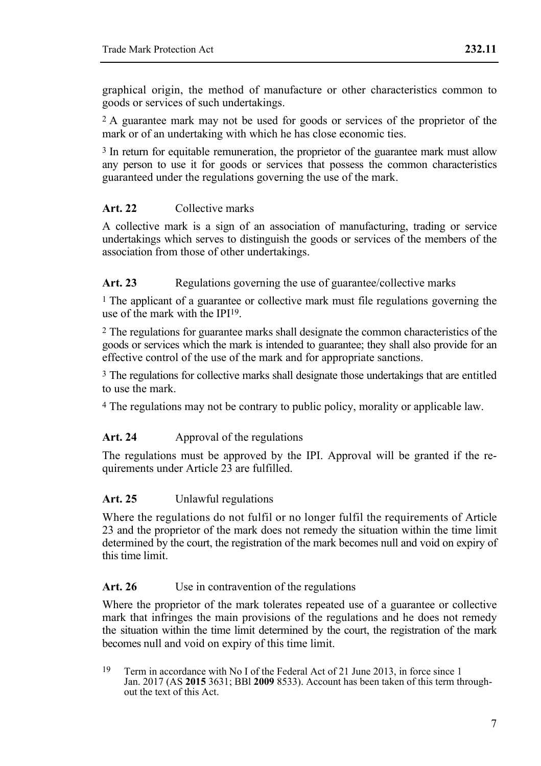graphical origin, the method of manufacture or other characteristics common to goods or services of such undertakings.

2 A guarantee mark may not be used for goods or services of the proprietor of the mark or of an undertaking with which he has close economic ties.

<sup>3</sup> In return for equitable remuneration, the proprietor of the guarantee mark must allow any person to use it for goods or services that possess the common characteristics guaranteed under the regulations governing the use of the mark.

## **Art. 22** Collective marks

A collective mark is a sign of an association of manufacturing, trading or service undertakings which serves to distinguish the goods or services of the members of the association from those of other undertakings.

### Art. 23 Regulations governing the use of guarantee/collective marks

<sup>1</sup> The applicant of a guarantee or collective mark must file regulations governing the use of the mark with the IPI19.

2 The regulations for guarantee marks shall designate the common characteristics of the goods or services which the mark is intended to guarantee; they shall also provide for an effective control of the use of the mark and for appropriate sanctions.

3 The regulations for collective marks shall designate those undertakings that are entitled to use the mark.

4 The regulations may not be contrary to public policy, morality or applicable law.

#### Art. 24 • **Approval of the regulations**

The regulations must be approved by the IPI. Approval will be granted if the requirements under Article 23 are fulfilled.

#### **Art. 25** Unlawful regulations

Where the regulations do not fulfil or no longer fulfil the requirements of Article 23 and the proprietor of the mark does not remedy the situation within the time limit determined by the court, the registration of the mark becomes null and void on expiry of this time limit.

#### Art. 26 Use in contravention of the regulations

Where the proprietor of the mark tolerates repeated use of a guarantee or collective mark that infringes the main provisions of the regulations and he does not remedy the situation within the time limit determined by the court, the registration of the mark becomes null and void on expiry of this time limit.

<sup>19</sup> Term in accordance with No I of the Federal Act of 21 June 2013, in force since 1 Jan. 2017 (AS **2015** 3631; BBl **2009** 8533). Account has been taken of this term throughout the text of this Act.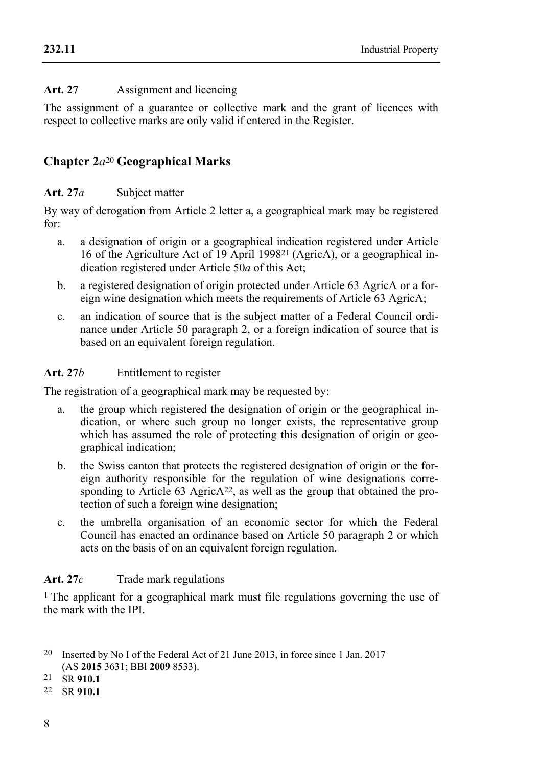## **Art. 27** Assignment and licencing

The assignment of a guarantee or collective mark and the grant of licences with respect to collective marks are only valid if entered in the Register.

## **Chapter 2***a*<sup>20</sup> **Geographical Marks**

### **Art. 27***a* Subject matter

By way of derogation from Article 2 letter a, a geographical mark may be registered for:

- a. a designation of origin or a geographical indication registered under Article 16 of the Agriculture Act of 19 April 199821 (AgricA), or a geographical indication registered under Article 50*a* of this Act;
- b. a registered designation of origin protected under Article 63 AgricA or a foreign wine designation which meets the requirements of Article 63 AgricA;
- c. an indication of source that is the subject matter of a Federal Council ordinance under Article 50 paragraph 2, or a foreign indication of source that is based on an equivalent foreign regulation.

### **Art. 27***b* Entitlement to register

The registration of a geographical mark may be requested by:

- a. the group which registered the designation of origin or the geographical indication, or where such group no longer exists, the representative group which has assumed the role of protecting this designation of origin or geographical indication;
- b. the Swiss canton that protects the registered designation of origin or the foreign authority responsible for the regulation of wine designations corresponding to Article 63 Agric $A^{22}$ , as well as the group that obtained the protection of such a foreign wine designation;
- c. the umbrella organisation of an economic sector for which the Federal Council has enacted an ordinance based on Article 50 paragraph 2 or which acts on the basis of on an equivalent foreign regulation.

## Art. 27*c* Trade mark regulations

1 The applicant for a geographical mark must file regulations governing the use of the mark with the IPI.

22 SR **910.1**

<sup>20</sup> Inserted by No I of the Federal Act of 21 June 2013, in force since 1 Jan. 2017 (AS **2015** 3631; BBl **2009** 8533). 21 SR **910.1**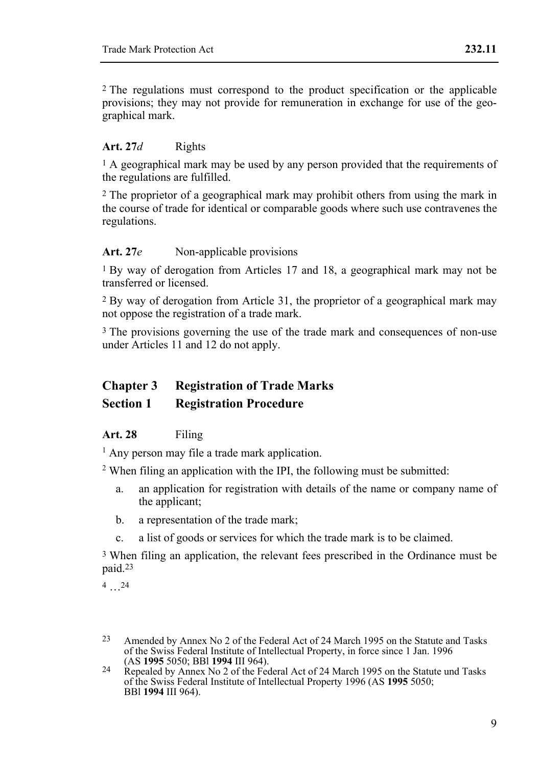2 The regulations must correspond to the product specification or the applicable provisions; they may not provide for remuneration in exchange for use of the geographical mark.

#### **Art. 27***d* Rights

 $<sup>1</sup>$  A geographical mark may be used by any person provided that the requirements of</sup> the regulations are fulfilled.

2 The proprietor of a geographical mark may prohibit others from using the mark in the course of trade for identical or comparable goods where such use contravenes the regulations.

#### Art. 27*e* Non-applicable provisions

1 By way of derogation from Articles 17 and 18, a geographical mark may not be transferred or licensed.

2 By way of derogation from Article 31, the proprietor of a geographical mark may not oppose the registration of a trade mark.

3 The provisions governing the use of the trade mark and consequences of non-use under Articles 11 and 12 do not apply.

# **Chapter 3 Registration of Trade Marks**

## **Section 1 Registration Procedure**

#### **Art. 28** Filing

<sup>1</sup> Any person may file a trade mark application.

2 When filing an application with the IPI, the following must be submitted:

- a. an application for registration with details of the name or company name of the applicant;
- b. a representation of the trade mark;
- c. a list of goods or services for which the trade mark is to be claimed.

3 When filing an application, the relevant fees prescribed in the Ordinance must be paid.23

4 …24

<sup>23</sup> Amended by Annex No 2 of the Federal Act of 24 March 1995 on the Statute and Tasks of the Swiss Federal Institute of Intellectual Property, in force since 1 Jan. 1996 (AS 1995 5050; BBI 1994 III 964).

<sup>&</sup>lt;sup>24</sup> Repealed by Annex No 2 of the Federal Act of 24 March 1995 on the Statute und Tasks of the Swiss Federal Institute of Intellectual Property 1996 (AS **1995** 5050; BBl **1994** III 964).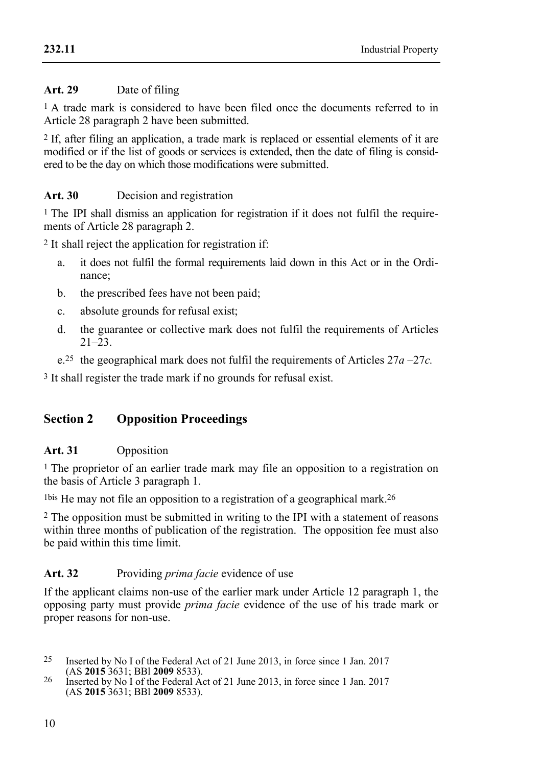### **232.11**

## **Art. 29** Date of filing

<sup>1</sup> A trade mark is considered to have been filed once the documents referred to in Article 28 paragraph 2 have been submitted.

2 If, after filing an application, a trade mark is replaced or essential elements of it are modified or if the list of goods or services is extended, then the date of filing is considered to be the day on which those modifications were submitted.

## Art. 30 **Decision and registration**

1 The IPI shall dismiss an application for registration if it does not fulfil the requirements of Article 28 paragraph 2.

2 It shall reject the application for registration if:

- a. it does not fulfil the formal requirements laid down in this Act or in the Ordinance;
- b. the prescribed fees have not been paid;
- c. absolute grounds for refusal exist;
- d. the guarantee or collective mark does not fulfil the requirements of Articles 21–23.
- e.25 the geographical mark does not fulfil the requirements of Articles 27*a* –27*c.*

3 It shall register the trade mark if no grounds for refusal exist.

## **Section 2 Opposition Proceedings**

## **Art. 31** Opposition

1 The proprietor of an earlier trade mark may file an opposition to a registration on the basis of Article 3 paragraph 1.

1bis He may not file an opposition to a registration of a geographical mark.26

2 The opposition must be submitted in writing to the IPI with a statement of reasons within three months of publication of the registration. The opposition fee must also be paid within this time limit.

## **Art. 32** Providing *prima facie* evidence of use

If the applicant claims non-use of the earlier mark under Article 12 paragraph 1, the opposing party must provide *prima facie* evidence of the use of his trade mark or proper reasons for non-use.

 $25$ Inserted by No I of the Federal Act of 21 June 2013, in force since 1 Jan. 2017 (AS 2015 3631: BBI 2009 8533).

<sup>&</sup>lt;sup>26</sup> Inserted by No I of the Federal Act of 21 June 2013, in force since 1 Jan. 2017 (AS **2015** 3631; BBl **2009** 8533).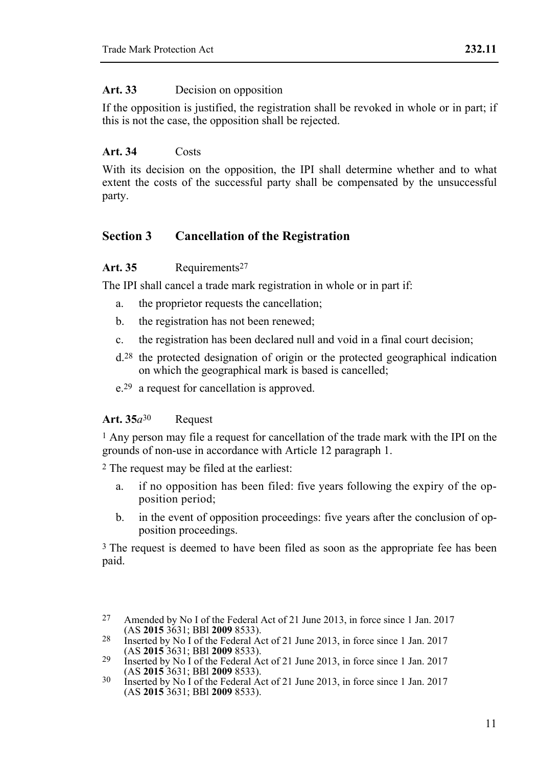### Art. 33 Decision on opposition

If the opposition is justified, the registration shall be revoked in whole or in part; if this is not the case, the opposition shall be rejected.

## **Art. 34** Costs

With its decision on the opposition, the IPI shall determine whether and to what extent the costs of the successful party shall be compensated by the unsuccessful party.

## **Section 3 Cancellation of the Registration**

## Art. 35 **Requirements<sup>27</sup>**

The IPI shall cancel a trade mark registration in whole or in part if:

- a. the proprietor requests the cancellation;
- b. the registration has not been renewed;
- c. the registration has been declared null and void in a final court decision;
- d.28 the protected designation of origin or the protected geographical indication on which the geographical mark is based is cancelled;
- e.29 a request for cancellation is approved.

## **Art. 35***a*30 Request

1 Any person may file a request for cancellation of the trade mark with the IPI on the grounds of non-use in accordance with Article 12 paragraph 1.

2 The request may be filed at the earliest:

- a. if no opposition has been filed: five years following the expiry of the opposition period;
- b. in the event of opposition proceedings: five years after the conclusion of opposition proceedings.

<sup>3</sup> The request is deemed to have been filed as soon as the appropriate fee has been paid.

<sup>27</sup> Amended by No I of the Federal Act of 21 June 2013, in force since 1 Jan. 2017<br>(AS 2015 3631: BBI 2009 8533).

<sup>&</sup>lt;sup>28</sup> Inserted by No I of the Federal Act of 21 June 2013, in force since 1 Jan. 2017<br>(AS **2015** 3631: BBI **2009** 8533).

<sup>(</sup>AS **2015** 3631; BBl **2009** 8533). 29 Inserted by No I of the Federal Act of 21 June 2013, in force since 1 Jan. 2017

<sup>(</sup>AS **2015** 3631; BBl **2009** 8533). 30 Inserted by No I of the Federal Act of 21 June 2013, in force since 1 Jan. 2017 (AS **2015** 3631; BBl **2009** 8533).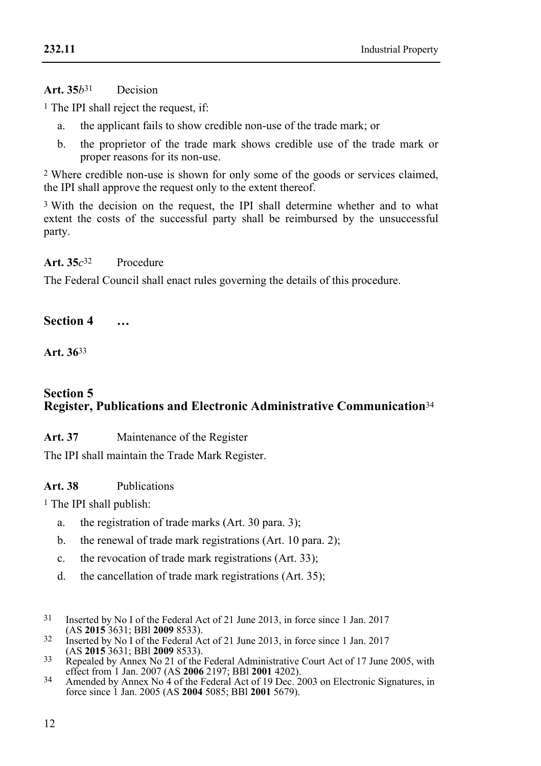### **Art. 35***b*31 Decision

1 The IPI shall reject the request, if:

- a. the applicant fails to show credible non-use of the trade mark; or
- b. the proprietor of the trade mark shows credible use of the trade mark or proper reasons for its non-use.

2 Where credible non-use is shown for only some of the goods or services claimed, the IPI shall approve the request only to the extent thereof.

3 With the decision on the request, the IPI shall determine whether and to what extent the costs of the successful party shall be reimbursed by the unsuccessful party.

**Art. 35***c*32 Procedure

The Federal Council shall enact rules governing the details of this procedure.

**Section 4 …** 

**Art. 36**33

## **Section 5 Register, Publications and Electronic Administrative Communication**<sup>34</sup>

## **Art. 37** Maintenance of the Register

The IPI shall maintain the Trade Mark Register.

## **Art. 38** Publications

1 The IPI shall publish:

- a. the registration of trade marks (Art. 30 para. 3);
- b. the renewal of trade mark registrations (Art. 10 para. 2);
- c. the revocation of trade mark registrations (Art. 33);
- d. the cancellation of trade mark registrations (Art. 35);
- $31$ Inserted by No I of the Federal Act of 21 June 2013, in force since 1 Jan. 2017<br>(AS 2015 3631: BBI 2009 8533).
- (AS **2015** 3631; BBl **2009** 8533). 32 Inserted by No I of the Federal Act of 21 June 2013, in force since 1 Jan. 2017
- <sup>33</sup> Repealed by Annex No 21 of the Federal Administrative Court Act of 17 June 2005, with effect from 1 Jan. 2007 (AS **2006** 2197; BBl **2001** 4202).<br><sup>34</sup> Amended by Annex No 4 of the Federal Act of 19 Dec. 2003 on Electronic Signatures, in
- force since 1 Jan. 2005 (AS **2004** 5085; BBl **2001** 5679).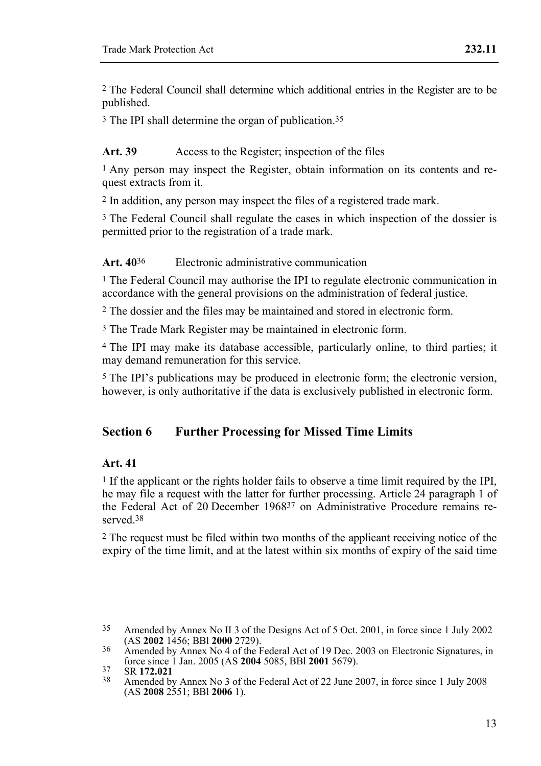2 The Federal Council shall determine which additional entries in the Register are to be published.

3 The IPI shall determine the organ of publication.35

### Art. 39 Access to the Register; inspection of the files

<sup>1</sup> Any person may inspect the Register, obtain information on its contents and request extracts from it.

2 In addition, any person may inspect the files of a registered trade mark.

3 The Federal Council shall regulate the cases in which inspection of the dossier is permitted prior to the registration of a trade mark.

### **Art. 40**36 Electronic administrative communication

1 The Federal Council may authorise the IPI to regulate electronic communication in accordance with the general provisions on the administration of federal justice.

2 The dossier and the files may be maintained and stored in electronic form.

3 The Trade Mark Register may be maintained in electronic form.

4 The IPI may make its database accessible, particularly online, to third parties; it may demand remuneration for this service.

5 The IPI's publications may be produced in electronic form; the electronic version, however, is only authoritative if the data is exclusively published in electronic form.

## **Section 6 Further Processing for Missed Time Limits**

#### **Art. 41**

1 If the applicant or the rights holder fails to observe a time limit required by the IPI, he may file a request with the latter for further processing. Article 24 paragraph 1 of the Federal Act of 20 December 196837 on Administrative Procedure remains reserved<sup>38</sup>

2 The request must be filed within two months of the applicant receiving notice of the expiry of the time limit, and at the latest within six months of expiry of the said time

 $35$ Amended by Annex No II 3 of the Designs Act of 5 Oct. 2001, in force since 1 July 2002 (AS 2002 1456: BBI 2000 2729).

Amended by Annex No 4 of the Federal Act of 19 Dec. 2003 on Electronic Signatures, in force since 1 Jan. 2005 (AS 2004 5085, BBI 2001 5679).

Force since 1 July 2008<br><sup>37</sup> SR **172.021** 38 Amended by Annex No 3 of the Federal Act of 22 June 2007, in force since 1 July 2008 (AS **2008** 2551; BBl **2006** 1).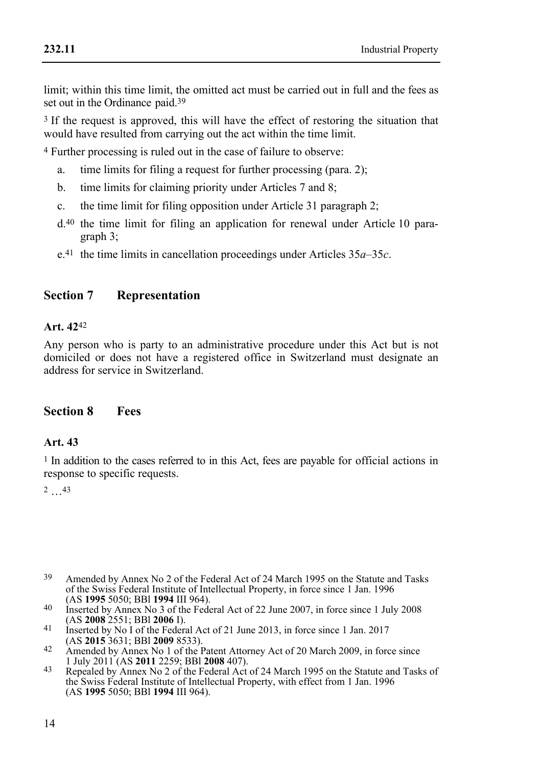limit; within this time limit, the omitted act must be carried out in full and the fees as set out in the Ordinance paid.39

3 If the request is approved, this will have the effect of restoring the situation that would have resulted from carrying out the act within the time limit.

4 Further processing is ruled out in the case of failure to observe:

- a. time limits for filing a request for further processing (para. 2);
- b. time limits for claiming priority under Articles 7 and 8;
- c. the time limit for filing opposition under Article 31 paragraph 2;
- d.40 the time limit for filing an application for renewal under Article 10 paragraph 3;
- e.41 the time limits in cancellation proceedings under Articles 35*a*–35*c*.

## **Section 7 Representation**

### **Art. 42**42

Any person who is party to an administrative procedure under this Act but is not domiciled or does not have a registered office in Switzerland must designate an address for service in Switzerland.

## **Section 8 Fees**

## **Art. 43**

1 In addition to the cases referred to in this Act, fees are payable for official actions in response to specific requests.

2 …43

- 39 Amended by Annex No 2 of the Federal Act of 24 March 1995 on the Statute and Tasks of the Swiss Federal Institute of Intellectual Property, in force since 1 Jan. 1996<br>(AS 1995 5050: BBI 1994 III 964).
- (AS **1995** 5050; BBl **1994** III 964). 40 Inserted by Annex No 3 of the Federal Act of 22 June 2007, in force since 1 July 2008
- (AS **2008** 2551; BBI **2006** I).  $\frac{41}{100}$  Inserted by No I of the Federal Act of 21 June 2013, in force since 1 Jan. 2017
- (AS **2015** 3631; BBl **2009** 8533). 42 Amended by Annex No 1 of the Patent Attorney Act of 20 March 2009, in force since
- 1 July 2011 (AS **2011** 2259; BBl **2008** 407). 43 Repealed by Annex No 2 of the Federal Act of 24 March 1995 on the Statute and Tasks of the Swiss Federal Institute of Intellectual Property, with effect from 1 Jan. 1996 (AS **1995** 5050; BBl **1994** III 964).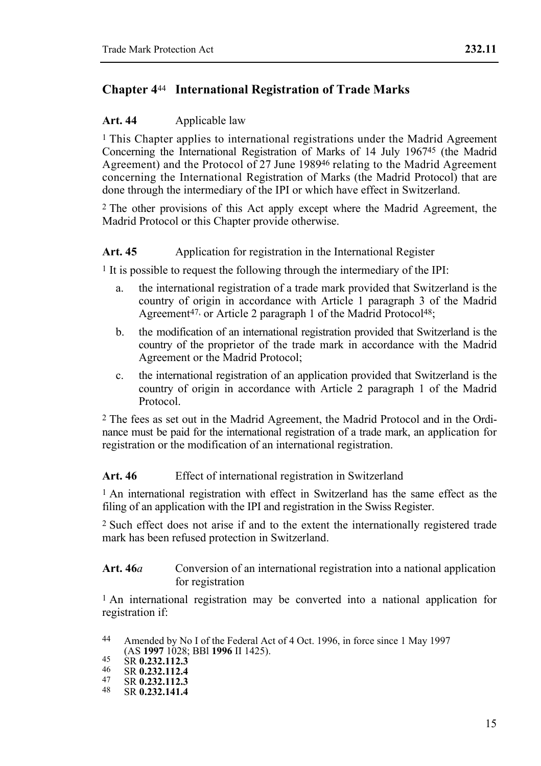## **Chapter 4**44 **International Registration of Trade Marks**

### **Art. 44** Applicable law

<sup>1</sup> This Chapter applies to international registrations under the Madrid Agreement Concerning the International Registration of Marks of 14 July 196745 (the Madrid Agreement) and the Protocol of 27 June 198946 relating to the Madrid Agreement concerning the International Registration of Marks (the Madrid Protocol) that are done through the intermediary of the IPI or which have effect in Switzerland.

2 The other provisions of this Act apply except where the Madrid Agreement, the Madrid Protocol or this Chapter provide otherwise.

### Art. 45 Application for registration in the International Register

1 It is possible to request the following through the intermediary of the IPI:

- a. the international registration of a trade mark provided that Switzerland is the country of origin in accordance with Article 1 paragraph 3 of the Madrid Agreement<sup>47,</sup> or Article 2 paragraph 1 of the Madrid Protocol<sup>48</sup>;
- b. the modification of an international registration provided that Switzerland is the country of the proprietor of the trade mark in accordance with the Madrid Agreement or the Madrid Protocol;
- c. the international registration of an application provided that Switzerland is the country of origin in accordance with Article 2 paragraph 1 of the Madrid Protocol.

2 The fees as set out in the Madrid Agreement, the Madrid Protocol and in the Ordinance must be paid for the international registration of a trade mark, an application for registration or the modification of an international registration.

#### Art. 46 **Effect of international registration in Switzerland**

1 An international registration with effect in Switzerland has the same effect as the filing of an application with the IPI and registration in the Swiss Register.

2 Such effect does not arise if and to the extent the internationally registered trade mark has been refused protection in Switzerland.

#### Art. 46*a* Conversion of an international registration into a national application for registration

1 An international registration may be converted into a national application for registration if:

- 
- 

 $44$ Amended by No I of the Federal Act of 4 Oct. 1996, in force since 1 May 1997 (AS **1997** 1028; BBl **1996** II 1425). 45 SR **0.232.112.3** 46 SR **0.232.112.4** 47 SR **0.232.112.3** 48 SR **0.232.141.4**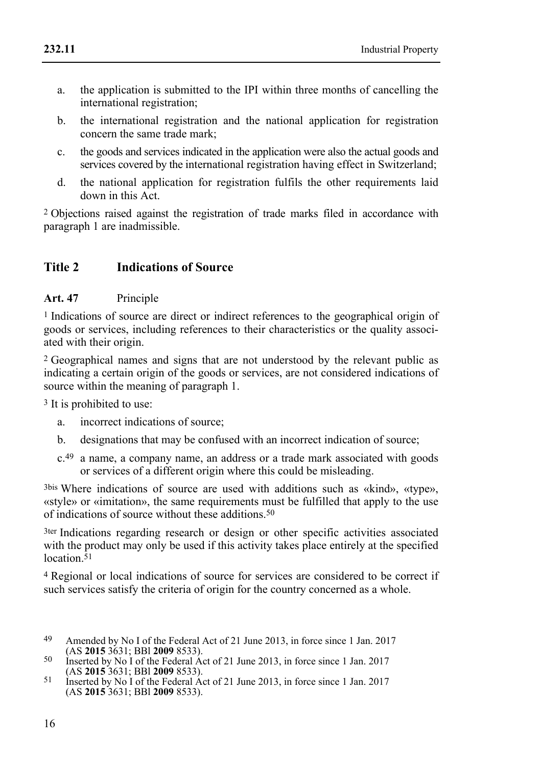- a. the application is submitted to the IPI within three months of cancelling the international registration;
- b. the international registration and the national application for registration concern the same trade mark;
- c. the goods and services indicated in the application were also the actual goods and services covered by the international registration having effect in Switzerland;
- d. the national application for registration fulfils the other requirements laid down in this Act.

2 Objections raised against the registration of trade marks filed in accordance with paragraph 1 are inadmissible.

## **Title 2 Indications of Source**

### **Art. 47** Principle

1 Indications of source are direct or indirect references to the geographical origin of goods or services, including references to their characteristics or the quality associated with their origin.

2 Geographical names and signs that are not understood by the relevant public as indicating a certain origin of the goods or services, are not considered indications of source within the meaning of paragraph 1.

3 It is prohibited to use:

- a. incorrect indications of source;
- b. designations that may be confused with an incorrect indication of source;
- c.49 a name, a company name, an address or a trade mark associated with goods or services of a different origin where this could be misleading.

3bis Where indications of source are used with additions such as «kind», «type», «style» or «imitation», the same requirements must be fulfilled that apply to the use of indications of source without these additions.50

3ter Indications regarding research or design or other specific activities associated with the product may only be used if this activity takes place entirely at the specified location  $\overline{5}1$ 

4 Regional or local indications of source for services are considered to be correct if such services satisfy the criteria of origin for the country concerned as a whole.

- 49 Amended by No I of the Federal Act of 21 June 2013, in force since 1 Jan. 2017<br>(AS 2015 3631: BBI 2009 8533).
- (AS **2015** 3631; BBl **2009** 8533). 50 Inserted by No I of the Federal Act of 21 June 2013, in force since 1 Jan. 2017
- (AS **2015** 3631; BBl **2009** 8533). 51 Inserted by No I of the Federal Act of 21 June 2013, in force since 1 Jan. 2017 (AS **2015** 3631; BBl **2009** 8533).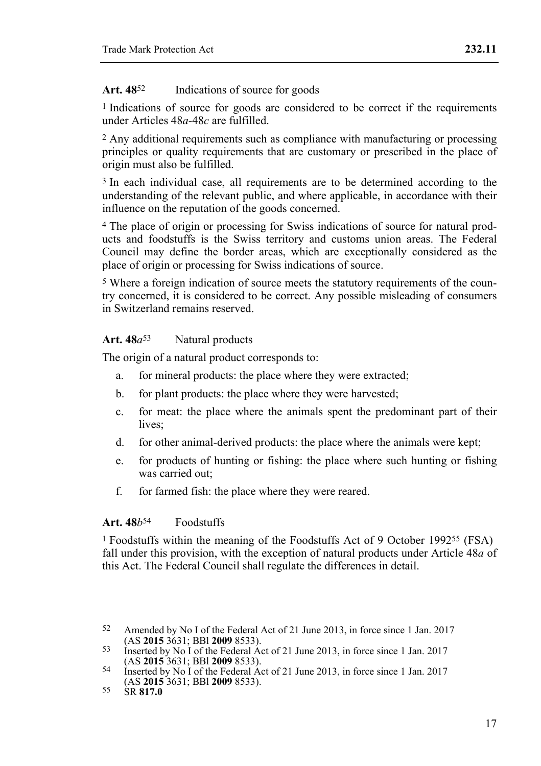#### Art. 48<sup>52</sup> Indications of source for goods

1 Indications of source for goods are considered to be correct if the requirements under Articles 48*a-*48*c* are fulfilled.

2 Any additional requirements such as compliance with manufacturing or processing principles or quality requirements that are customary or prescribed in the place of origin must also be fulfilled.

<sup>3</sup> In each individual case, all requirements are to be determined according to the understanding of the relevant public, and where applicable, in accordance with their influence on the reputation of the goods concerned.

4 The place of origin or processing for Swiss indications of source for natural products and foodstuffs is the Swiss territory and customs union areas. The Federal Council may define the border areas, which are exceptionally considered as the place of origin or processing for Swiss indications of source.

5 Where a foreign indication of source meets the statutory requirements of the country concerned, it is considered to be correct. Any possible misleading of consumers in Switzerland remains reserved.

#### Art. 48*a*<sup>53</sup> Natural products

The origin of a natural product corresponds to:

- a. for mineral products: the place where they were extracted;
- b. for plant products: the place where they were harvested;
- c. for meat: the place where the animals spent the predominant part of their lives:
- d. for other animal-derived products: the place where the animals were kept;
- e. for products of hunting or fishing: the place where such hunting or fishing was carried out;
- f. for farmed fish: the place where they were reared.

#### **Art. 48***b*54 Foodstuffs

1 Foodstuffs within the meaning of the Foodstuffs Act of 9 October 199255 (FSA) fall under this provision, with the exception of natural products under Article 48*a* of this Act. The Federal Council shall regulate the differences in detail.

 $52$ Amended by No I of the Federal Act of 21 June 2013, in force since 1 Jan. 2017 (AS 2015 3631: BBI 2009 8533).

<sup>(</sup>AS **2015** 3631; BBl **2009** 8533). 53 Inserted by No I of the Federal Act of 21 June 2013, in force since 1 Jan. 2017

<sup>&</sup>lt;sup>54</sup> Inserted by No I of the Federal Act of 21 June 2013, in force since 1 Jan. 2017 (AS **2015** 3631; BBl **2009** 8533). 55 SR **817.0**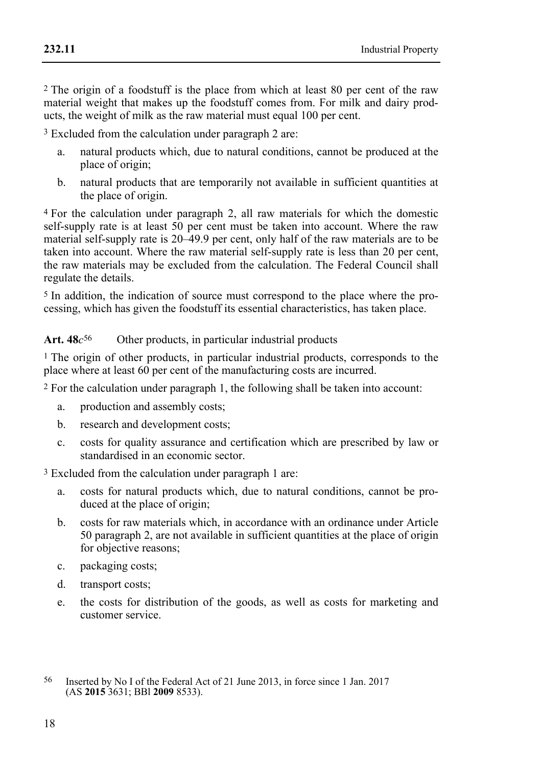**232.11** 

2 The origin of a foodstuff is the place from which at least 80 per cent of the raw material weight that makes up the foodstuff comes from. For milk and dairy products, the weight of milk as the raw material must equal 100 per cent.

3 Excluded from the calculation under paragraph 2 are:

- a. natural products which, due to natural conditions, cannot be produced at the place of origin;
- b. natural products that are temporarily not available in sufficient quantities at the place of origin.

4 For the calculation under paragraph 2, all raw materials for which the domestic self-supply rate is at least  $50$  per cent must be taken into account. Where the raw material self-supply rate is 20–49.9 per cent, only half of the raw materials are to be taken into account. Where the raw material self-supply rate is less than 20 per cent, the raw materials may be excluded from the calculation. The Federal Council shall regulate the details.

5 In addition, the indication of source must correspond to the place where the processing, which has given the foodstuff its essential characteristics, has taken place.

## **Art. 48***c*56 Other products, in particular industrial products

<sup>1</sup> The origin of other products, in particular industrial products, corresponds to the place where at least 60 per cent of the manufacturing costs are incurred.

2 For the calculation under paragraph 1, the following shall be taken into account:

- a. production and assembly costs;
- b. research and development costs;
- c. costs for quality assurance and certification which are prescribed by law or standardised in an economic sector.

3 Excluded from the calculation under paragraph 1 are:

- a. costs for natural products which, due to natural conditions, cannot be produced at the place of origin;
- b. costs for raw materials which, in accordance with an ordinance under Article 50 paragraph 2, are not available in sufficient quantities at the place of origin for objective reasons;
- c. packaging costs;
- d. transport costs;
- e. the costs for distribution of the goods, as well as costs for marketing and customer service.

<sup>56</sup> 56 Inserted by No I of the Federal Act of 21 June 2013, in force since 1 Jan. 2017 (AS **2015** 3631; BBl **2009** 8533).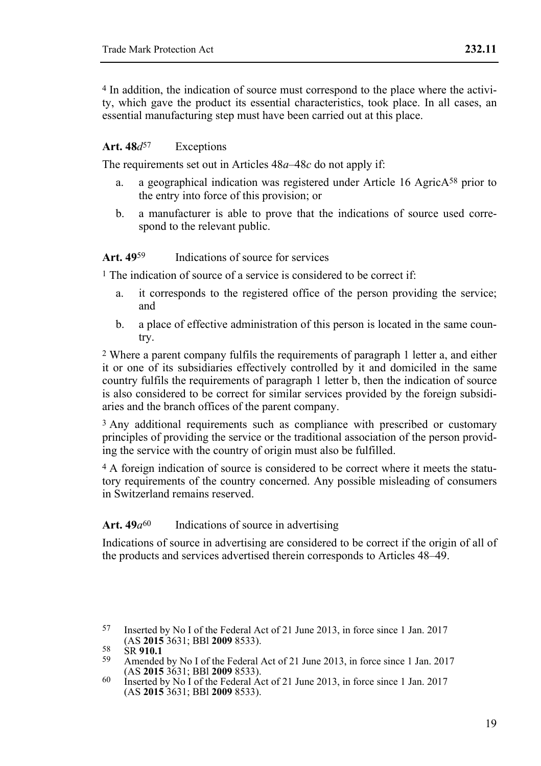4 In addition, the indication of source must correspond to the place where the activity, which gave the product its essential characteristics, took place. In all cases, an essential manufacturing step must have been carried out at this place.

#### Art.  $48d^{57}$  Exceptions

The requirements set out in Articles 48*a*–48*c* do not apply if:

- a. a geographical indication was registered under Article 16 AgricA58 prior to the entry into force of this provision; or
- b. a manufacturer is able to prove that the indications of source used correspond to the relevant public.

#### **Art. 49**59 Indications of source for services

1 The indication of source of a service is considered to be correct if:

- a. it corresponds to the registered office of the person providing the service; and
- b. a place of effective administration of this person is located in the same country.

2 Where a parent company fulfils the requirements of paragraph 1 letter a, and either it or one of its subsidiaries effectively controlled by it and domiciled in the same country fulfils the requirements of paragraph 1 letter b, then the indication of source is also considered to be correct for similar services provided by the foreign subsidiaries and the branch offices of the parent company.

<sup>3</sup> Any additional requirements such as compliance with prescribed or customary principles of providing the service or the traditional association of the person providing the service with the country of origin must also be fulfilled.

4 A foreign indication of source is considered to be correct where it meets the statutory requirements of the country concerned. Any possible misleading of consumers in Switzerland remains reserved.

#### Art.  $49a^{60}$  Indications of source in advertising

Indications of source in advertising are considered to be correct if the origin of all of the products and services advertised therein corresponds to Articles 48–49.

<sup>57</sup> Inserted by No I of the Federal Act of 21 June 2013, in force since 1 Jan. 2017 (AS 2015 3631; BBI 2009 8533).

<sup>58</sup> SR **910.1**<br>
2015 Amended by No I of the Federal Act of 21 June 2013, in force since 1 Jan. 2017<br>
36 **2015** 3631: BBl **2009** 8533).

<sup>(</sup>AS **2015** 3631; BBl **2009** 8533). 60 Inserted by No I of the Federal Act of 21 June 2013, in force since 1 Jan. 2017 (AS **2015** 3631; BBl **2009** 8533).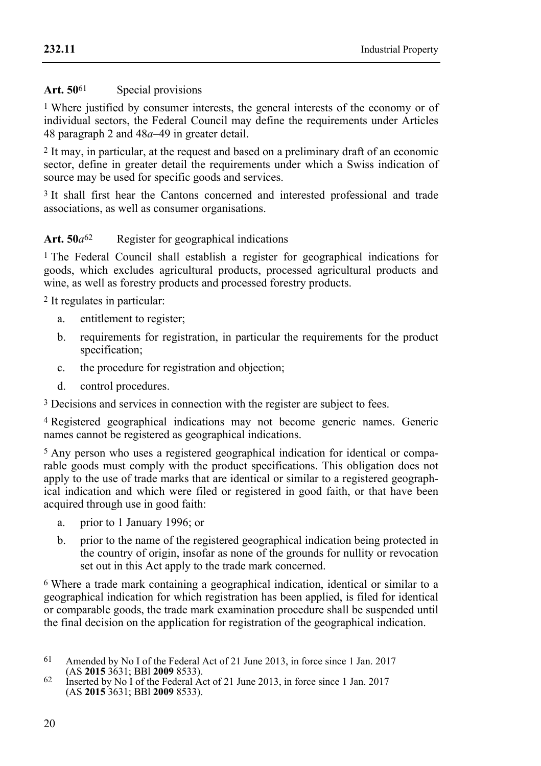### Art. 50<sup>61</sup> Special provisions

1 Where justified by consumer interests, the general interests of the economy or of individual sectors, the Federal Council may define the requirements under Articles 48 paragraph 2 and 48*a*–49 in greater detail.

2 It may, in particular, at the request and based on a preliminary draft of an economic sector, define in greater detail the requirements under which a Swiss indication of source may be used for specific goods and services.

3 It shall first hear the Cantons concerned and interested professional and trade associations, as well as consumer organisations.

### Art. 50*a*<sup>62</sup> Register for geographical indications

1 The Federal Council shall establish a register for geographical indications for goods, which excludes agricultural products, processed agricultural products and wine, as well as forestry products and processed forestry products.

2 It regulates in particular:

- a. entitlement to register;
- b. requirements for registration, in particular the requirements for the product specification;
- c. the procedure for registration and objection;
- d. control procedures.

3 Decisions and services in connection with the register are subject to fees.

4 Registered geographical indications may not become generic names. Generic names cannot be registered as geographical indications.

5 Any person who uses a registered geographical indication for identical or comparable goods must comply with the product specifications. This obligation does not apply to the use of trade marks that are identical or similar to a registered geographical indication and which were filed or registered in good faith, or that have been acquired through use in good faith:

- a. prior to 1 January 1996; or
- b. prior to the name of the registered geographical indication being protected in the country of origin, insofar as none of the grounds for nullity or revocation set out in this Act apply to the trade mark concerned.

6 Where a trade mark containing a geographical indication, identical or similar to a geographical indication for which registration has been applied, is filed for identical or comparable goods, the trade mark examination procedure shall be suspended until the final decision on the application for registration of the geographical indication.

<sup>61</sup> Amended by No I of the Federal Act of 21 June 2013, in force since 1 Jan. 2017 (AS 2015 3631: BBI 2009 8533).

<sup>&</sup>lt;sup>62</sup> Inserted by No I of the Federal Act of 21 June 2013, in force since 1 Jan. 2017 (AS **2015** 3631; BBl **2009** 8533).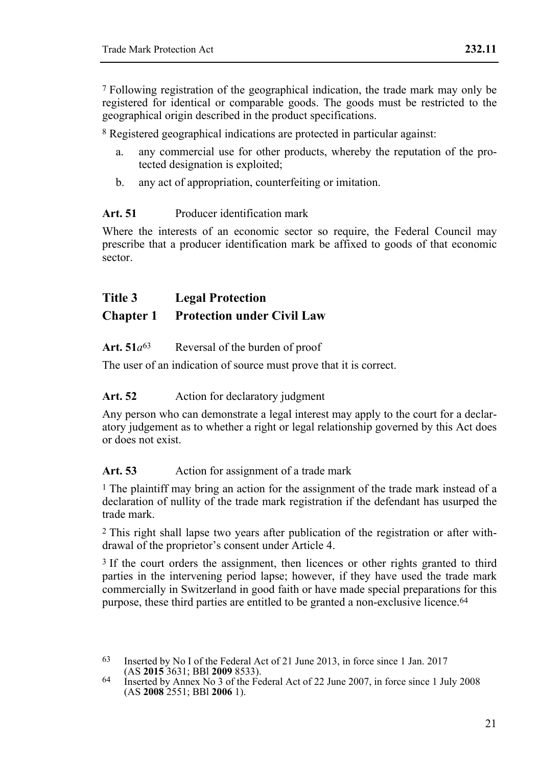7 Following registration of the geographical indication, the trade mark may only be registered for identical or comparable goods. The goods must be restricted to the geographical origin described in the product specifications.

8 Registered geographical indications are protected in particular against:

- a. any commercial use for other products, whereby the reputation of the protected designation is exploited;
- b. any act of appropriation, counterfeiting or imitation.

### **Art. 51** Producer identification mark

Where the interests of an economic sector so require, the Federal Council may prescribe that a producer identification mark be affixed to goods of that economic sector.

## **Title 3 Legal Protection**

## **Chapter 1 Protection under Civil Law**

#### Art.  $51a^{63}$  Reversal of the burden of proof

The user of an indication of source must prove that it is correct.

#### Art. 52 Action for declaratory judgment

Any person who can demonstrate a legal interest may apply to the court for a declaratory judgement as to whether a right or legal relationship governed by this Act does or does not exist.

#### Art. 53 Action for assignment of a trade mark

1 The plaintiff may bring an action for the assignment of the trade mark instead of a declaration of nullity of the trade mark registration if the defendant has usurped the trade mark.

2 This right shall lapse two years after publication of the registration or after withdrawal of the proprietor's consent under Article 4.

<sup>3</sup> If the court orders the assignment, then licences or other rights granted to third parties in the intervening period lapse; however, if they have used the trade mark commercially in Switzerland in good faith or have made special preparations for this purpose, these third parties are entitled to be granted a non-exclusive licence.64

<sup>63</sup> Inserted by No I of the Federal Act of 21 June 2013, in force since 1 Jan. 2017 (AS 2015 3631: BBI 2009 8533).

<sup>(</sup>AS **2015** 3631; BBl **2009** 8533). 64 Inserted by Annex No 3 of the Federal Act of 22 June 2007, in force since 1 July 2008 (AS **2008** 2551; BBl **2006** 1).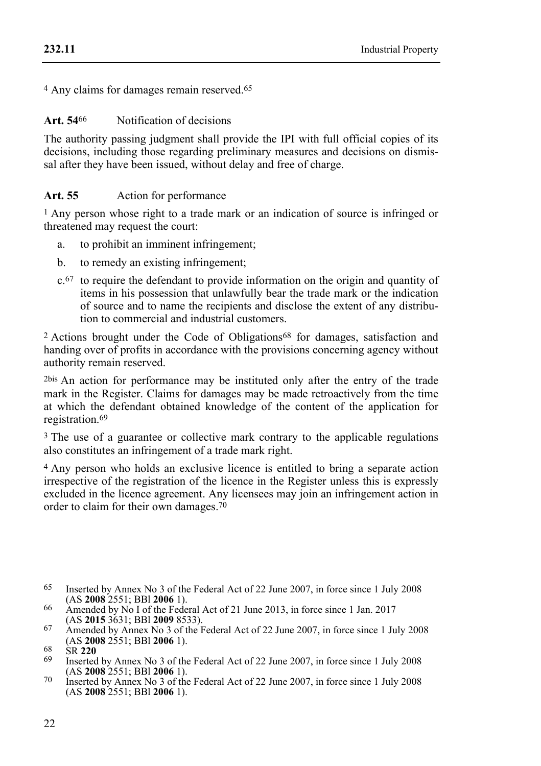4 Any claims for damages remain reserved.65

#### **Art. 54**66 Notification of decisions

The authority passing judgment shall provide the IPI with full official copies of its decisions, including those regarding preliminary measures and decisions on dismissal after they have been issued, without delay and free of charge.

#### Art. 55 Action for performance

1 Any person whose right to a trade mark or an indication of source is infringed or threatened may request the court:

- a. to prohibit an imminent infringement;
- b. to remedy an existing infringement;
- c.67 to require the defendant to provide information on the origin and quantity of items in his possession that unlawfully bear the trade mark or the indication of source and to name the recipients and disclose the extent of any distribution to commercial and industrial customers.

2 Actions brought under the Code of Obligations68 for damages, satisfaction and handing over of profits in accordance with the provisions concerning agency without authority remain reserved.

2bis An action for performance may be instituted only after the entry of the trade mark in the Register. Claims for damages may be made retroactively from the time at which the defendant obtained knowledge of the content of the application for registration.69

3 The use of a guarantee or collective mark contrary to the applicable regulations also constitutes an infringement of a trade mark right.

4 Any person who holds an exclusive licence is entitled to bring a separate action irrespective of the registration of the licence in the Register unless this is expressly excluded in the licence agreement. Any licensees may join an infringement action in order to claim for their own damages.70

<sup>65</sup> Inserted by Annex No 3 of the Federal Act of 22 June 2007, in force since 1 July 2008 (AS 2008 2551: BBI 2006 1).

<sup>&</sup>lt;sup>66</sup> Amended by No I of the Federal Act of 21 June 2013, in force since 1 Jan. 2017 (AS **2015** 3631; BBI **2009** 8533).

<sup>&</sup>lt;sup>67</sup> Amended by Annex No 3 of the Federal Act of 22 June 2007, in force since 1 July 2008 (AS **2008** 2551: BBI **2006** 1).

<sup>68</sup> SR 220<br>
Inserted by Annex No 3 of the Federal Act of 22 June 2007, in force since 1 July 2008<br>
(AS 2008 2551: BBl 2006 1).

<sup>(</sup>AS **2008** 2551; BBl **2006** 1). 70 Inserted by Annex No 3 of the Federal Act of 22 June 2007, in force since 1 July 2008 (AS **2008** 2551; BBl **2006** 1).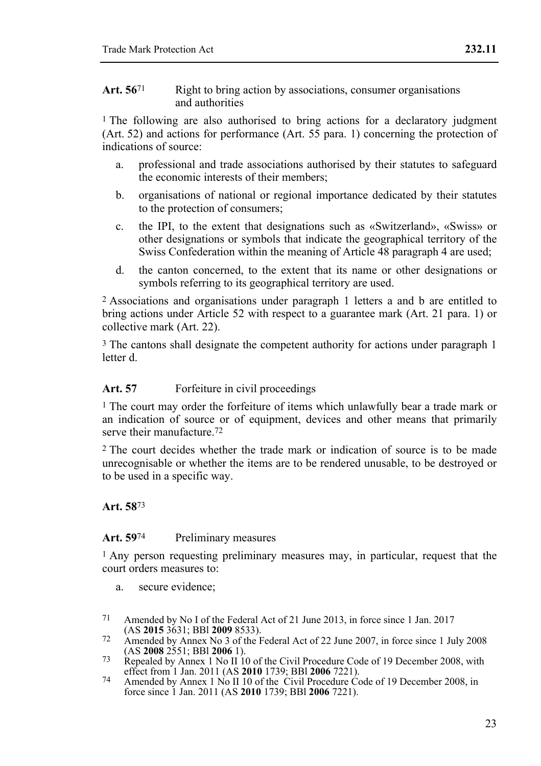1 The following are also authorised to bring actions for a declaratory judgment (Art. 52) and actions for performance (Art. 55 para. 1) concerning the protection of indications of source:

- a. professional and trade associations authorised by their statutes to safeguard the economic interests of their members;
- b. organisations of national or regional importance dedicated by their statutes to the protection of consumers;
- c. the IPI, to the extent that designations such as «Switzerland», «Swiss» or other designations or symbols that indicate the geographical territory of the Swiss Confederation within the meaning of Article 48 paragraph 4 are used;
- d. the canton concerned, to the extent that its name or other designations or symbols referring to its geographical territory are used.

2 Associations and organisations under paragraph 1 letters a and b are entitled to bring actions under Article 52 with respect to a guarantee mark (Art. 21 para. 1) or collective mark (Art. 22).

3 The cantons shall designate the competent authority for actions under paragraph 1 letter d.

#### Art. 57 **Forfeiture in civil proceedings**

1 The court may order the forfeiture of items which unlawfully bear a trade mark or an indication of source or of equipment, devices and other means that primarily serve their manufacture.<sup>72</sup>

2 The court decides whether the trade mark or indication of source is to be made unrecognisable or whether the items are to be rendered unusable, to be destroyed or to be used in a specific way.

#### **Art. 58**73

#### Art. 59<sup>74</sup> Preliminary measures

1 Any person requesting preliminary measures may, in particular, request that the court orders measures to:

- a. secure evidence;
- 71 Amended by No I of the Federal Act of 21 June 2013, in force since 1 Jan. 2017<br>(AS 2015 3631: BBI 2009 8533).
- 72 Amended by Annex No 3 of the Federal Act of 22 June 2007, in force since 1 July 2008<br>(AS **2008** 2551: BBI **2006** 1).
- <sup>73</sup> Repealed by Annex 1 No II 10 of the Civil Procedure Code of 19 December 2008, with effect from 1 Jan. 2011 (AS **2010** 1739; BBI **2006** 7221).<br>
74 Amended by Annex 1 No II 10 of the Civil Procedure Code of 19 December 2008, in
- force since 1 Jan. 2011 (AS **2010** 1739; BBl **2006** 7221).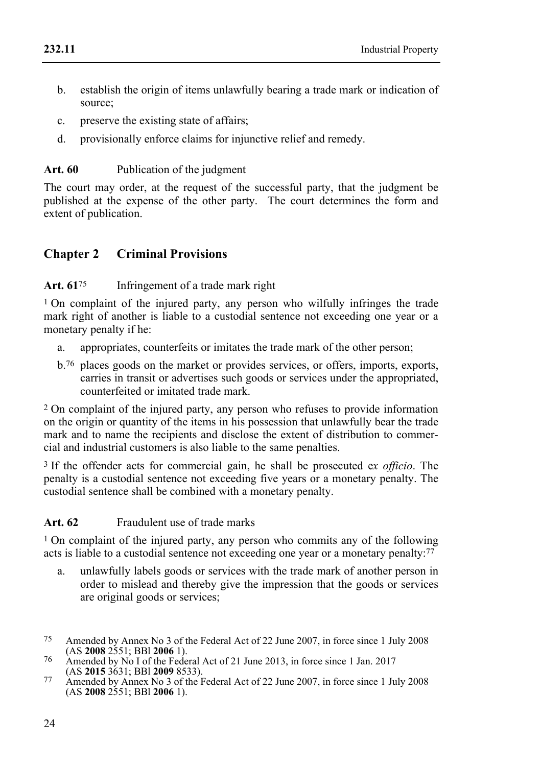- b. establish the origin of items unlawfully bearing a trade mark or indication of source;
- c. preserve the existing state of affairs;
- d. provisionally enforce claims for injunctive relief and remedy.

### Art. 60 Publication of the judgment

The court may order, at the request of the successful party, that the judgment be published at the expense of the other party. The court determines the form and extent of publication.

## **Chapter 2 Criminal Provisions**

### Art. 61<sup>75</sup> Infringement of a trade mark right

1 On complaint of the injured party, any person who wilfully infringes the trade mark right of another is liable to a custodial sentence not exceeding one year or a monetary penalty if he:

- a. appropriates, counterfeits or imitates the trade mark of the other person;
- b.76 places goods on the market or provides services, or offers, imports, exports, carries in transit or advertises such goods or services under the appropriated, counterfeited or imitated trade mark.

2 On complaint of the injured party, any person who refuses to provide information on the origin or quantity of the items in his possession that unlawfully bear the trade mark and to name the recipients and disclose the extent of distribution to commercial and industrial customers is also liable to the same penalties.

3 If the offender acts for commercial gain, he shall be prosecuted e*x officio*. The penalty is a custodial sentence not exceeding five years or a monetary penalty. The custodial sentence shall be combined with a monetary penalty.

## **Art. 62** Fraudulent use of trade marks

1 On complaint of the injured party, any person who commits any of the following acts is liable to a custodial sentence not exceeding one year or a monetary penalty: $^{77}$ 

- a. unlawfully labels goods or services with the trade mark of another person in order to mislead and thereby give the impression that the goods or services are original goods or services;
- <sup>75</sup> Amended by Annex No 3 of the Federal Act of 22 June 2007, in force since 1 July 2008 (AS **2008** 2551: BBI **2006** 1).
- <sup>76</sup> Amended by No I of the Federal Act of 21 June 2013, in force since 1 Jan. 2017<br>(AS **2015** 3631: BBI **2009** 8533).
- (AS **2015** 3631; BBl **2009** 8533). 77 Amended by Annex No 3 of the Federal Act of 22 June 2007, in force since 1 July 2008 (AS **2008** 2551; BBl **2006** 1).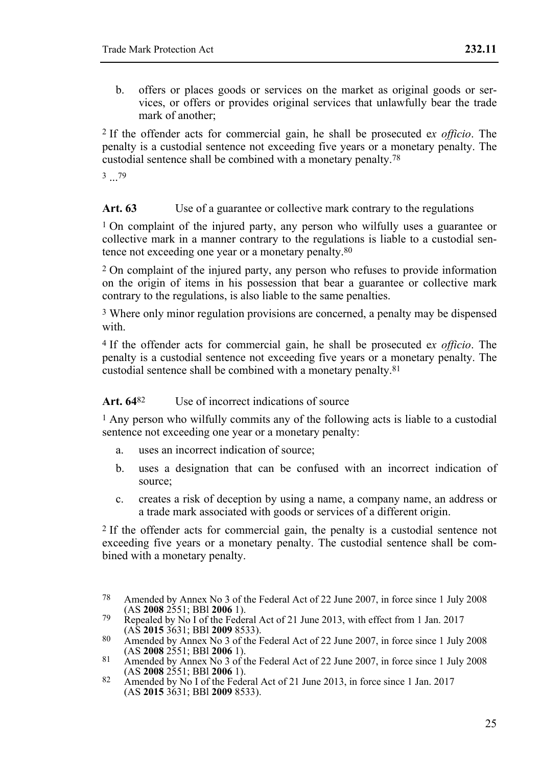b. offers or places goods or services on the market as original goods or services, or offers or provides original services that unlawfully bear the trade mark of another;

2 If the offender acts for commercial gain, he shall be prosecuted e*x officio*. The penalty is a custodial sentence not exceeding five years or a monetary penalty. The custodial sentence shall be combined with a monetary penalty.78

3 79

Art. 63 Use of a guarantee or collective mark contrary to the regulations

1 On complaint of the injured party, any person who wilfully uses a guarantee or collective mark in a manner contrary to the regulations is liable to a custodial sentence not exceeding one year or a monetary penalty.80

2 On complaint of the injured party, any person who refuses to provide information on the origin of items in his possession that bear a guarantee or collective mark contrary to the regulations, is also liable to the same penalties.

3 Where only minor regulation provisions are concerned, a penalty may be dispensed with.

4 If the offender acts for commercial gain, he shall be prosecuted e*x officio*. The penalty is a custodial sentence not exceeding five years or a monetary penalty. The custodial sentence shall be combined with a monetary penalty.81

#### Art. 64<sup>82</sup> Use of incorrect indications of source

1 Any person who wilfully commits any of the following acts is liable to a custodial sentence not exceeding one year or a monetary penalty:

- a. uses an incorrect indication of source;
- b. uses a designation that can be confused with an incorrect indication of source;
- c. creates a risk of deception by using a name, a company name, an address or a trade mark associated with goods or services of a different origin.

2 If the offender acts for commercial gain, the penalty is a custodial sentence not exceeding five years or a monetary penalty. The custodial sentence shall be combined with a monetary penalty.

<sup>78</sup> Amended by Annex No 3 of the Federal Act of 22 June 2007, in force since 1 July 2008 (AS 2008 2551: BBI 2006 1).

Repealed by No I of the Federal Act of 21 June 2013, with effect from 1 Jan. 2017<br>(AS **2015** 3631: BBI **2009** 8533).

<sup>80</sup> Amended by Annex No 3 of the Federal Act of 22 June 2007, in force since 1 July 2008<br>(AS **2008** 2551: BBI **2006** 1).

<sup>81</sup> Amended by Annex No 3 of the Federal Act of 22 June 2007, in force since 1 July 2008<br>(AS **2008** 2551: BBI **2006** 1).

<sup>(</sup>AS **2008** 2551; BBl **2006** 1). 82 Amended by No I of the Federal Act of 21 June 2013, in force since 1 Jan. 2017 (AS **2015** 3631; BBl **2009** 8533).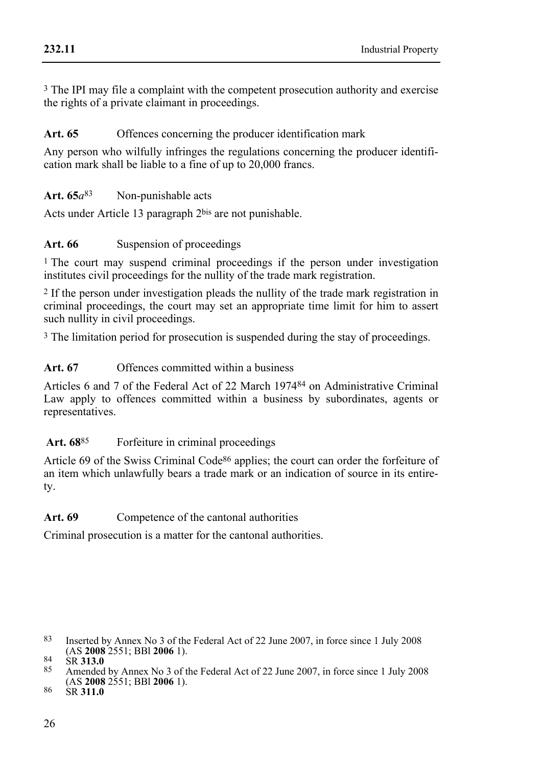3 The IPI may file a complaint with the competent prosecution authority and exercise the rights of a private claimant in proceedings.

### Art. 65 Offences concerning the producer identification mark

Any person who wilfully infringes the regulations concerning the producer identification mark shall be liable to a fine of up to 20,000 francs.

Art.  $65a^{83}$  Non-punishable acts

Acts under Article 13 paragraph 2bis are not punishable.

### Art. 66 Suspension of proceedings

<sup>1</sup> The court may suspend criminal proceedings if the person under investigation institutes civil proceedings for the nullity of the trade mark registration.

2 If the person under investigation pleads the nullity of the trade mark registration in criminal proceedings, the court may set an appropriate time limit for him to assert such nullity in civil proceedings.

3 The limitation period for prosecution is suspended during the stay of proceedings.

### **Art. 67** Offences committed within a business

Articles 6 and 7 of the Federal Act of 22 March 197484 on Administrative Criminal Law apply to offences committed within a business by subordinates, agents or representatives.

## Art. 68<sup>85</sup> Forfeiture in criminal proceedings

Article 69 of the Swiss Criminal Code86 applies; the court can order the forfeiture of an item which unlawfully bears a trade mark or an indication of source in its entirety.

Art. 69 Competence of the cantonal authorities

Criminal prosecution is a matter for the cantonal authorities.

<sup>&</sup>lt;sup>83</sup> Inserted by Annex No 3 of the Federal Act of 22 June 2007, in force since 1 July 2008<br>(AS **2008** 2551: BBI **2006** 1).

<sup>(</sup>AS **2008** 2551; BBl **2006** 1). 84 SR **313.0** 85 Amended by Annex No 3 of the Federal Act of 22 June 2007, in force since 1 July 2008 (AS **2008** 2551; BBl **2006** 1). 86 SR **311.0**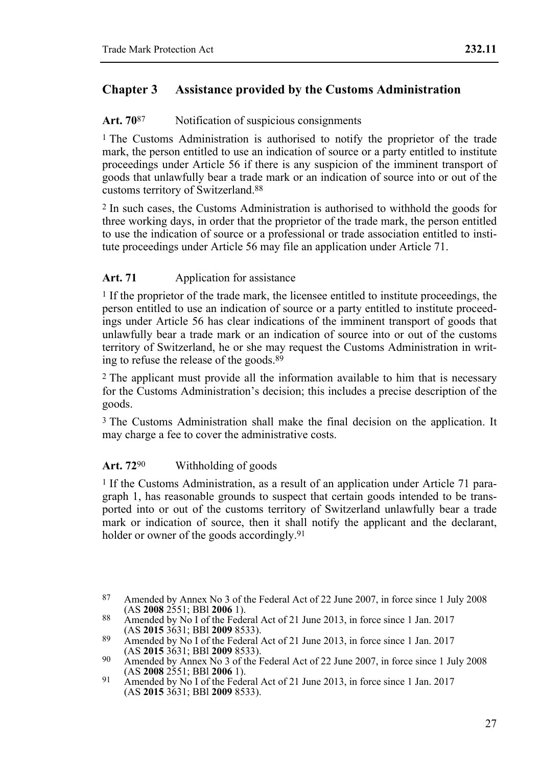## **Chapter 3 Assistance provided by the Customs Administration**

### Art. 70<sup>87</sup> Notification of suspicious consignments

<sup>1</sup> The Customs Administration is authorised to notify the proprietor of the trade mark, the person entitled to use an indication of source or a party entitled to institute proceedings under Article 56 if there is any suspicion of the imminent transport of goods that unlawfully bear a trade mark or an indication of source into or out of the customs territory of Switzerland.88

2 In such cases, the Customs Administration is authorised to withhold the goods for three working days, in order that the proprietor of the trade mark, the person entitled to use the indication of source or a professional or trade association entitled to institute proceedings under Article 56 may file an application under Article 71.

## Art. 71 **Application for assistance**

1 If the proprietor of the trade mark, the licensee entitled to institute proceedings, the person entitled to use an indication of source or a party entitled to institute proceedings under Article 56 has clear indications of the imminent transport of goods that unlawfully bear a trade mark or an indication of source into or out of the customs territory of Switzerland, he or she may request the Customs Administration in writing to refuse the release of the goods.<sup>89</sup>

2 The applicant must provide all the information available to him that is necessary for the Customs Administration's decision; this includes a precise description of the goods.

3 The Customs Administration shall make the final decision on the application. It may charge a fee to cover the administrative costs.

## **Art. 72**90 Withholding of goods

<sup>1</sup> If the Customs Administration, as a result of an application under Article 71 paragraph 1, has reasonable grounds to suspect that certain goods intended to be transported into or out of the customs territory of Switzerland unlawfully bear a trade mark or indication of source, then it shall notify the applicant and the declarant, holder or owner of the goods accordingly.<sup>91</sup>

<sup>87</sup> Amended by Annex No 3 of the Federal Act of 22 June 2007, in force since 1 July 2008 (AS 2008 2551: BBI 2006 1).

<sup>88</sup> Amended by No I of the Federal Act of 21 June 2013, in force since 1 Jan. 2017<br>(AS **2015** 3631: BBI **2009** 8533).

<sup>89</sup> Amended by No I of the Federal Act of 21 June 2013, in force since 1 Jan. 2017<br>(AS **2015** 3631: BBI **2009** 8533).

<sup>41632008 3632016 3632016 85333.</sup> Amended by Annex No 3 of the Federal Act of 22 June 2007, in force since 1 July 2008<br>(AS 2008 2551: BBI 2006 1).

<sup>(</sup>AS **2008** 2551; BBl **2006** 1). 91 Amended by No I of the Federal Act of 21 June 2013, in force since 1 Jan. 2017 (AS **2015** 3631; BBl **2009** 8533).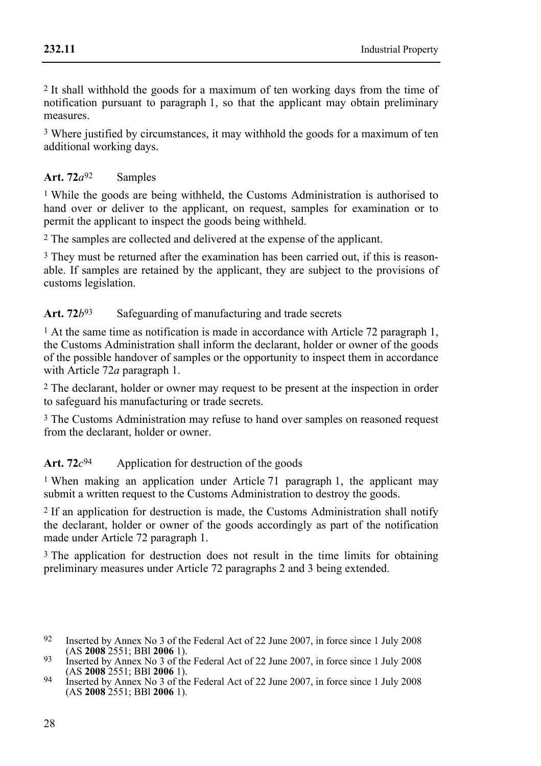2 It shall withhold the goods for a maximum of ten working days from the time of notification pursuant to paragraph 1, so that the applicant may obtain preliminary measures.

<sup>3</sup> Where justified by circumstances, it may withhold the goods for a maximum of ten additional working days.

## Art. 72*a*<sup>92</sup> Samples

<sup>1</sup> While the goods are being withheld, the Customs Administration is authorised to hand over or deliver to the applicant, on request, samples for examination or to permit the applicant to inspect the goods being withheld.

2 The samples are collected and delivered at the expense of the applicant.

<sup>3</sup> They must be returned after the examination has been carried out, if this is reasonable. If samples are retained by the applicant, they are subject to the provisions of customs legislation.

## Art. 72*b*<sup>93</sup> Safeguarding of manufacturing and trade secrets

<sup>1</sup> At the same time as notification is made in accordance with Article 72 paragraph 1, the Customs Administration shall inform the declarant, holder or owner of the goods of the possible handover of samples or the opportunity to inspect them in accordance with Article 72*a* paragraph 1.

2 The declarant, holder or owner may request to be present at the inspection in order to safeguard his manufacturing or trade secrets.

3 The Customs Administration may refuse to hand over samples on reasoned request from the declarant, holder or owner.

Art. 72*c*<sup>94</sup> Application for destruction of the goods

<sup>1</sup> When making an application under Article 71 paragraph 1, the applicant may submit a written request to the Customs Administration to destroy the goods.

2 If an application for destruction is made, the Customs Administration shall notify the declarant, holder or owner of the goods accordingly as part of the notification made under Article 72 paragraph 1.

<sup>3</sup> The application for destruction does not result in the time limits for obtaining preliminary measures under Article 72 paragraphs 2 and 3 being extended.

<sup>&</sup>lt;sup>92</sup> Inserted by Annex No 3 of the Federal Act of 22 June 2007, in force since 1 July 2008<br>(AS **2008** 2551: BBI **2006** 1).

<sup>(</sup>AS **2008** 2551; BBl **2006** 1). 93 Inserted by Annex No 3 of the Federal Act of 22 June 2007, in force since 1 July 2008

<sup>&</sup>lt;sup>94</sup> Inserted by Annex No 3 of the Federal Act of 22 June 2007, in force since 1 July 2008 (AS **2008** 2551; BBl **2006** 1).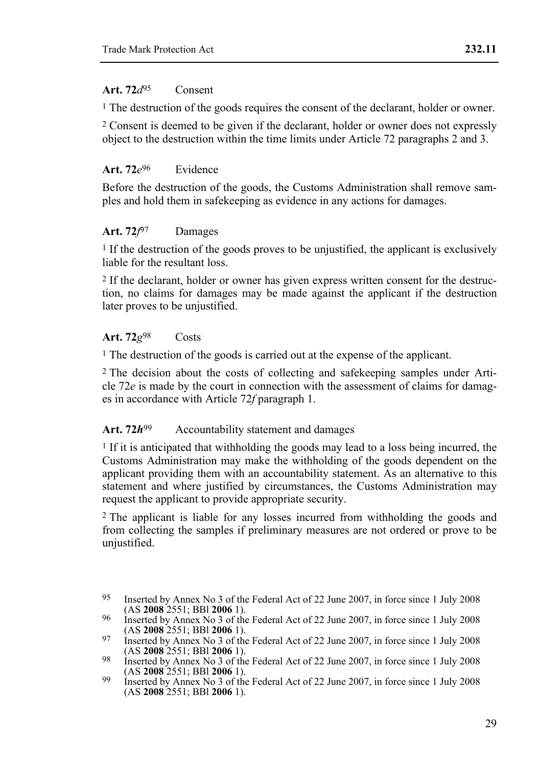#### **Art. 72***d*95 Consent

1 The destruction of the goods requires the consent of the declarant, holder or owner.

<sup>2</sup> Consent is deemed to be given if the declarant, holder or owner does not expressly object to the destruction within the time limits under Article 72 paragraphs 2 and 3.

## **Art. 72***e*96 Evidence

Before the destruction of the goods, the Customs Administration shall remove samples and hold them in safekeeping as evidence in any actions for damages.

## **Art. 72***f*97 Damages

<sup>1</sup> If the destruction of the goods proves to be unjustified, the applicant is exclusively liable for the resultant loss.

2 If the declarant, holder or owner has given express written consent for the destruction, no claims for damages may be made against the applicant if the destruction later proves to be unjustified.

## **Art. 72***g*98 Costs

1 The destruction of the goods is carried out at the expense of the applicant.

2 The decision about the costs of collecting and safekeeping samples under Article 72*e* is made by the court in connection with the assessment of claims for damages in accordance with Article 72*f* paragraph 1.

## Art. 72*h*<sup>99</sup> Accountability statement and damages

 $1$  If it is anticipated that withholding the goods may lead to a loss being incurred, the Customs Administration may make the withholding of the goods dependent on the applicant providing them with an accountability statement. As an alternative to this statement and where justified by circumstances, the Customs Administration may request the applicant to provide appropriate security.

2 The applicant is liable for any losses incurred from withholding the goods and from collecting the samples if preliminary measures are not ordered or prove to be unjustified.

<sup>95</sup> Inserted by Annex No 3 of the Federal Act of 22 June 2007, in force since 1 July 2008 (AS 2008 2551; BBI 2006 1).

<sup>(</sup>AS **2008** 2551; BBl **2006** 1). 96 Inserted by Annex No 3 of the Federal Act of 22 June 2007, in force since 1 July 2008

<sup>&</sup>lt;sup>97</sup> Inserted by Annex No 3 of the Federal Act of 22 June 2007, in force since 1 July 2008<br>(AS **2008** 2551: BBl **2006** 1).

<sup>&</sup>lt;sup>98</sup> Inserted by Annex No 3 of the Federal Act of 22 June 2007, in force since 1 July 2008<br>(AS **2008** 2551: BBl **2006** 1).

<sup>&</sup>lt;sup>99</sup> Inserted by Annex No 3 of the Federal Act of 22 June 2007, in force since 1 July 2008 (AS **2008** 2551; BBl **2006** 1).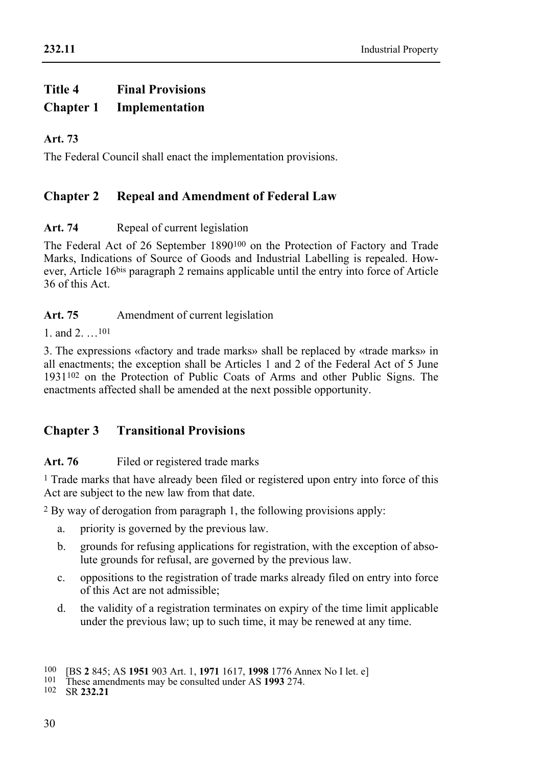#### **232.11**

## **Title 4 Final Provisions Chapter 1 Implementation**

## **Art. 73**

The Federal Council shall enact the implementation provisions.

## **Chapter 2 Repeal and Amendment of Federal Law**

## Art. 74 **Repeal of current legislation**

The Federal Act of 26 September 1890100 on the Protection of Factory and Trade Marks, Indications of Source of Goods and Industrial Labelling is repealed. However, Article 16bis paragraph 2 remains applicable until the entry into force of Article 36 of this Act.

### Art. 75 Amendment of current legislation

1. and  $2^{101}$ 

3. The expressions «factory and trade marks» shall be replaced by «trade marks» in all enactments; the exception shall be Articles 1 and 2 of the Federal Act of 5 June 1931102 on the Protection of Public Coats of Arms and other Public Signs. The enactments affected shall be amended at the next possible opportunity.

## **Chapter 3 Transitional Provisions**

## Art. 76 Filed or registered trade marks

1 Trade marks that have already been filed or registered upon entry into force of this Act are subject to the new law from that date.

2 By way of derogation from paragraph 1, the following provisions apply:

- a. priority is governed by the previous law.
- b. grounds for refusing applications for registration, with the exception of absolute grounds for refusal, are governed by the previous law.
- c. oppositions to the registration of trade marks already filed on entry into force of this Act are not admissible;
- d. the validity of a registration terminates on expiry of the time limit applicable under the previous law; up to such time, it may be renewed at any time.

<sup>100 [</sup>BS **2** 845; AS **1951** 903 Art. 1, **1971** 1617, **1998** 1776 Annex No I let. e] 101 These amendments may be consulted under AS **1993** 274. 102 SR **232.21**